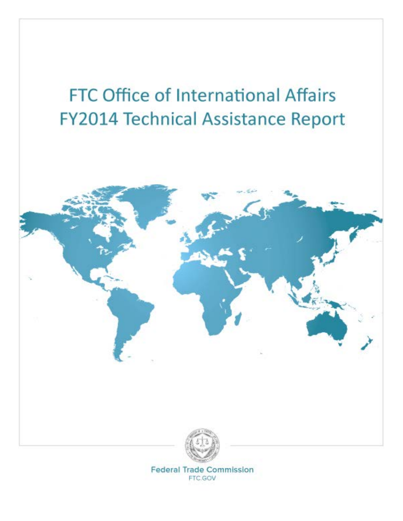



**Federal Trade Commission** FTC.GOV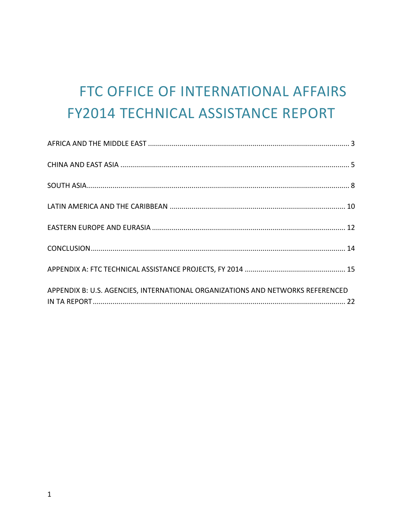# FTC OFFICE OF INTERNATIONAL AFFAIRS **FY2014 TECHNICAL ASSISTANCE REPORT**

| APPENDIX B: U.S. AGENCIES, INTERNATIONAL ORGANIZATIONS AND NETWORKS REFERENCED |
|--------------------------------------------------------------------------------|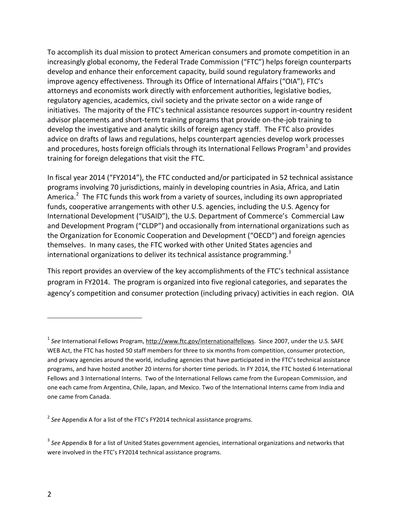To accomplish its dual mission to protect American consumers and promote competition in an increasingly global economy, the Federal Trade Commission ("FTC") helps foreign counterparts develop and enhance their enforcement capacity, build sound regulatory frameworks and improve agency effectiveness. Through its Office of International Affairs ("OIA"), FTC's attorneys and economists work directly with enforcement authorities, legislative bodies, regulatory agencies, academics, civil society and the private sector on a wide range of initiatives. The majority of the FTC's technical assistance resources support in-country resident advisor placements and short-term training programs that provide on-the-job training to develop the investigative and analytic skills of foreign agency staff. The FTC also provides advice on drafts of laws and regulations, helps counterpart agencies develop work processes and procedures, hosts foreign officials through its International Fellows Program<sup>[1](#page-2-0)</sup> and provides training for foreign delegations that visit the FTC.

In fiscal year 2014 ("FY2014"), the FTC conducted and/or participated in 52 technical assistance programs involving 70 jurisdictions, mainly in developing countries in Asia, Africa, and Latin America.<sup>[2](#page-2-1)</sup> The FTC funds this work from a variety of sources, including its own appropriated funds, cooperative arrangements with other U.S. agencies, including the U.S. Agency for International Development ("USAID"), the U.S. Department of Commerce's Commercial Law and Development Program ("CLDP") and occasionally from international organizations such as the Organization for Economic Cooperation and Development ("OECD") and foreign agencies themselves. In many cases, the FTC worked with other United States agencies and international organizations to deliver its technical assistance programming.<sup>[3](#page-2-2)</sup>

This report provides an overview of the key accomplishments of the FTC's technical assistance program in FY2014. The program is organized into five regional categories, and separates the agency's competition and consumer protection (including privacy) activities in each region. OIA

 $\overline{a}$ 

<span id="page-2-0"></span><sup>&</sup>lt;sup>1</sup> See International Fellows Program[, http://www.ftc.gov/internationalfellows.](http://www.ftc.gov/internationalfellows) Since 2007, under the U.S. SAFE WEB Act, the FTC has hosted 50 staff members for three to six months from competition, consumer protection, and privacy agencies around the world, including agencies that have participated in the FTC's technical assistance programs, and have hosted another 20 interns for shorter time periods. In FY 2014, the FTC hosted 6 International Fellows and 3 International Interns. Two of the International Fellows came from the European Commission, and one each came from Argentina, Chile, Japan, and Mexico. Two of the International Interns came from India and one came from Canada.

<span id="page-2-1"></span><sup>&</sup>lt;sup>2</sup> See Appendix A for a list of the FTC's FY2014 technical assistance programs.

<span id="page-2-2"></span><sup>3</sup> *See* Appendix B for a list of United States government agencies, international organizations and networks that were involved in the FTC's FY2014 technical assistance programs.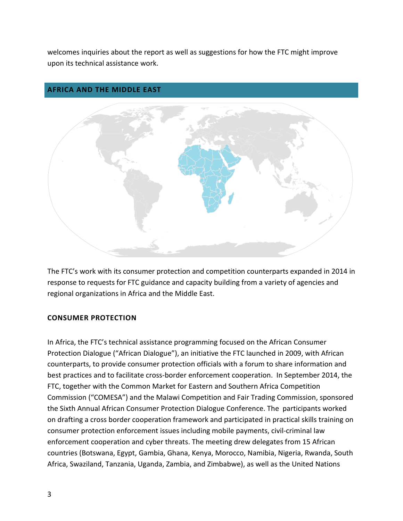welcomes inquiries about the report as well as suggestions for how the FTC might improve upon its technical assistance work.

#### <span id="page-3-0"></span>**AFRICA AND THE MIDDLE EAST**



The FTC's work with its consumer protection and competition counterparts expanded in 2014 in response to requests for FTC guidance and capacity building from a variety of agencies and regional organizations in Africa and the Middle East.

#### **CONSUMER PROTECTION**

In Africa, the FTC's technical assistance programming focused on the African Consumer Protection Dialogue ("African Dialogue"), an initiative the FTC launched in 2009, with African counterparts, to provide consumer protection officials with a forum to share information and best practices and to facilitate cross-border enforcement cooperation. In September 2014, the FTC, together with the Common Market for Eastern and Southern Africa Competition Commission ("COMESA") and the Malawi Competition and Fair Trading Commission, sponsored the Sixth Annual African Consumer Protection Dialogue Conference. The participants worked on drafting a cross border cooperation framework and participated in practical skills training on consumer protection enforcement issues including mobile payments, civil-criminal law enforcement cooperation and cyber threats. The meeting drew delegates from 15 African countries (Botswana, Egypt, Gambia, Ghana, Kenya, Morocco, Namibia, Nigeria, Rwanda, South Africa, Swaziland, Tanzania, Uganda, Zambia, and Zimbabwe), as well as the United Nations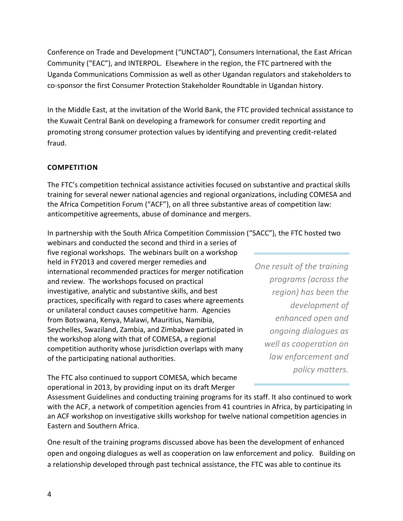Conference on Trade and Development ("UNCTAD"), Consumers International, the East African Community ("EAC"), and INTERPOL. Elsewhere in the region, the FTC partnered with the Uganda Communications Commission as well as other Ugandan regulators and stakeholders to co-sponsor the first Consumer Protection Stakeholder Roundtable in Ugandan history.

In the Middle East, at the invitation of the World Bank, the FTC provided technical assistance to the Kuwait Central Bank on developing a framework for consumer credit reporting and promoting strong consumer protection values by identifying and preventing credit-related fraud.

#### **COMPETITION**

The FTC's competition technical assistance activities focused on substantive and practical skills training for several newer national agencies and regional organizations, including COMESA and the Africa Competition Forum ("ACF"), on all three substantive areas of competition law: anticompetitive agreements, abuse of dominance and mergers.

In partnership with the South Africa Competition Commission ("SACC"), the FTC hosted two

webinars and conducted the second and third in a series of five regional workshops. The webinars built on a workshop held in FY2013 and covered merger remedies and international recommended practices for merger notification and review. The workshops focused on practical investigative, analytic and substantive skills, and best practices, specifically with regard to cases where agreements or unilateral conduct causes competitive harm. Agencies from Botswana, Kenya, Malawi, Mauritius, Namibia, Seychelles, Swaziland, Zambia, and Zimbabwe participated in the workshop along with that of COMESA, a regional competition authority whose jurisdiction overlaps with many of the participating national authorities.

*One result of the training programs (across the region) has been the development of enhanced open and ongoing dialogues as well as cooperation on law enforcement and policy matters.* 

The FTC also continued to support COMESA, which became operational in 2013, by providing input on its draft Merger

Assessment Guidelines and conducting training programs for its staff. It also continued to work with the ACF, a network of competition agencies from 41 countries in Africa, by participating in an ACF workshop on investigative skills workshop for twelve national competition agencies in Eastern and Southern Africa.

One result of the training programs discussed above has been the development of enhanced open and ongoing dialogues as well as cooperation on law enforcement and policy. Building on a relationship developed through past technical assistance, the FTC was able to continue its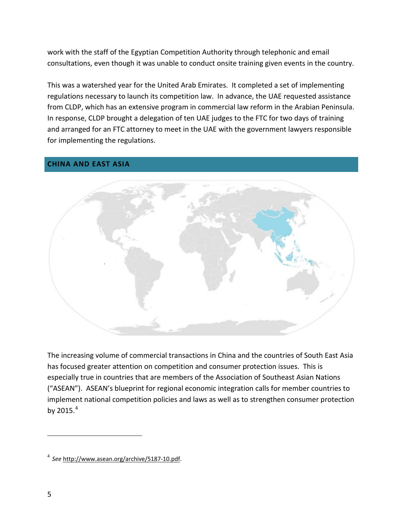work with the staff of the Egyptian Competition Authority through telephonic and email consultations, even though it was unable to conduct onsite training given events in the country.

This was a watershed year for the United Arab Emirates. It completed a set of implementing regulations necessary to launch its competition law. In advance, the UAE requested assistance from CLDP, which has an extensive program in commercial law reform in the Arabian Peninsula. In response, CLDP brought a delegation of ten UAE judges to the FTC for two days of training and arranged for an FTC attorney to meet in the UAE with the government lawyers responsible for implementing the regulations.

#### <span id="page-5-0"></span>**CHINA AND EAST ASIA**



The increasing volume of commercial transactions in China and the countries of South East Asia has focused greater attention on competition and consumer protection issues. This is especially true in countries that are members of the Association of Southeast Asian Nations ("ASEAN"). ASEAN's blueprint for regional economic integration calls for member countries to implement national competition policies and laws as well as to strengthen consumer protection by 2015. [4](#page-5-1)

 $\overline{a}$ 

<span id="page-5-1"></span><sup>4</sup>*See* [http://www.asean.org/archive/5187-10.pdf.](http://www.asean.org/archive/5187-10.pdf)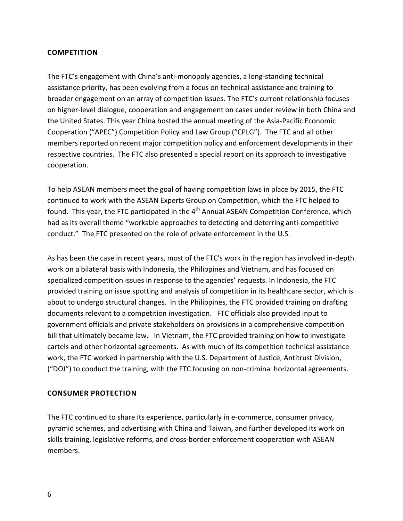#### **COMPETITION**

The FTC's engagement with China's anti-monopoly agencies, a long-standing technical assistance priority, has been evolving from a focus on technical assistance and training to broader engagement on an array of competition issues. The FTC's current relationship focuses on higher-level dialogue, cooperation and engagement on cases under review in both China and the United States. This year China hosted the annual meeting of the Asia-Pacific Economic Cooperation ("APEC") Competition Policy and Law Group ("CPLG"). The FTC and all other members reported on recent major competition policy and enforcement developments in their respective countries. The FTC also presented a special report on its approach to investigative cooperation.

To help ASEAN members meet the goal of having competition laws in place by 2015, the FTC continued to work with the ASEAN Experts Group on Competition, which the FTC helped to found. This year, the FTC participated in the  $4<sup>th</sup>$  Annual ASEAN Competition Conference, which had as its overall theme "workable approaches to detecting and deterring anti-competitive conduct." The FTC presented on the role of private enforcement in the U.S.

As has been the case in recent years, most of the FTC's work in the region has involved in-depth work on a bilateral basis with Indonesia, the Philippines and Vietnam, and has focused on specialized competition issues in response to the agencies' requests. In Indonesia, the FTC provided training on issue spotting and analysis of competition in its healthcare sector, which is about to undergo structural changes. In the Philippines, the FTC provided training on drafting documents relevant to a competition investigation. FTC officials also provided input to government officials and private stakeholders on provisions in a comprehensive competition bill that ultimately became law. In Vietnam, the FTC provided training on how to investigate cartels and other horizontal agreements. As with much of its competition technical assistance work, the FTC worked in partnership with the U.S. Department of Justice, Antitrust Division, ("DOJ") to conduct the training, with the FTC focusing on non-criminal horizontal agreements.

#### **CONSUMER PROTECTION**

The FTC continued to share its experience, particularly in e-commerce, consumer privacy, pyramid schemes, and advertising with China and Taiwan, and further developed its work on skills training, legislative reforms, and cross-border enforcement cooperation with ASEAN members.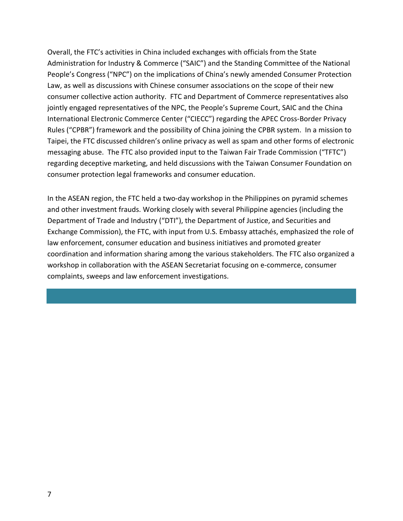Overall, the FTC's activities in China included exchanges with officials from the State Administration for Industry & Commerce ("SAIC") and the Standing Committee of the National People's Congress ("NPC") on the implications of China's newly amended Consumer Protection Law, as well as discussions with Chinese consumer associations on the scope of their new consumer collective action authority. FTC and Department of Commerce representatives also jointly engaged representatives of the NPC, the People's Supreme Court, SAIC and the China International Electronic Commerce Center ("CIECC") regarding the APEC Cross-Border Privacy Rules ("CPBR") framework and the possibility of China joining the CPBR system. In a mission to Taipei, the FTC discussed children's online privacy as well as spam and other forms of electronic messaging abuse. The FTC also provided input to the Taiwan Fair Trade Commission ("TFTC") regarding deceptive marketing, and held discussions with the Taiwan Consumer Foundation on consumer protection legal frameworks and consumer education.

In the ASEAN region, the FTC held a two-day workshop in the Philippines on pyramid schemes and other investment frauds. Working closely with several Philippine agencies (including the Department of Trade and Industry ("DTI"), the Department of Justice, and Securities and Exchange Commission), the FTC, with input from U.S. Embassy attachés, emphasized the role of law enforcement, consumer education and business initiatives and promoted greater coordination and information sharing among the various stakeholders. The FTC also organized a workshop in collaboration with the ASEAN Secretariat focusing on e-commerce, consumer complaints, sweeps and law enforcement investigations.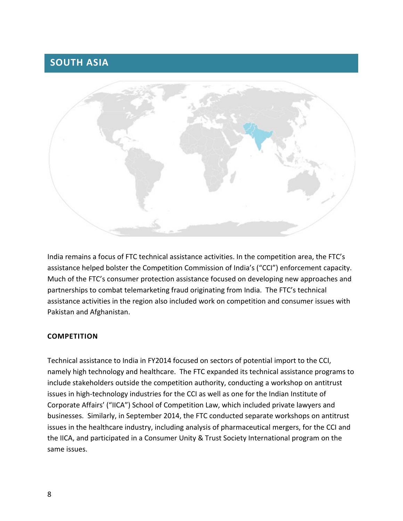### <span id="page-8-0"></span>**SOUTH ASIA**



India remains a focus of FTC technical assistance activities. In the competition area, the FTC's assistance helped bolster the Competition Commission of India's ("CCI") enforcement capacity. Much of the FTC's consumer protection assistance focused on developing new approaches and partnerships to combat telemarketing fraud originating from India. The FTC's technical assistance activities in the region also included work on competition and consumer issues with Pakistan and Afghanistan.

#### **COMPETITION**

Technical assistance to India in FY2014 focused on sectors of potential import to the CCI, namely high technology and healthcare. The FTC expanded its technical assistance programs to include stakeholders outside the competition authority, conducting a workshop on antitrust issues in high-technology industries for the CCI as well as one for the Indian Institute of Corporate Affairs' ("IICA") School of Competition Law, which included private lawyers and businesses. Similarly, in September 2014, the FTC conducted separate workshops on antitrust issues in the healthcare industry, including analysis of pharmaceutical mergers, for the CCI and the IICA, and participated in a Consumer Unity & Trust Society International program on the same issues.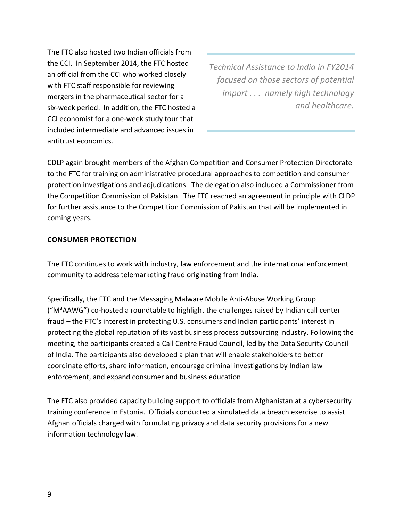The FTC also hosted two Indian officials from the CCI. In September 2014, the FTC hosted an official from the CCI who worked closely with FTC staff responsible for reviewing mergers in the pharmaceutical sector for a six-week period. In addition, the FTC hosted a CCI economist for a one-week study tour that included intermediate and advanced issues in antitrust economics.

*Technical Assistance to India in FY2014 focused on those sectors of potential import . . . namely high technology and healthcare.*

CDLP again brought members of the Afghan Competition and Consumer Protection Directorate to the FTC for training on administrative procedural approaches to competition and consumer protection investigations and adjudications. The delegation also included a Commissioner from the Competition Commission of Pakistan. The FTC reached an agreement in principle with CLDP for further assistance to the Competition Commission of Pakistan that will be implemented in coming years.

#### **CONSUMER PROTECTION**

The FTC continues to work with industry, law enforcement and the international enforcement community to address telemarketing fraud originating from India.

Specifically, the FTC and the Messaging Malware Mobile Anti-Abuse Working Group ("M³AAWG") co-hosted a roundtable to highlight the challenges raised by Indian call center fraud – the FTC's interest in protecting U.S. consumers and Indian participants' interest in protecting the global reputation of its vast business process outsourcing industry. Following the meeting, the participants created a Call Centre Fraud Council, led by the Data Security Council of India. The participants also developed a plan that will enable stakeholders to better coordinate efforts, share information, encourage criminal investigations by Indian law enforcement, and expand consumer and business education

The FTC also provided capacity building support to officials from Afghanistan at a cybersecurity training conference in Estonia. Officials conducted a simulated data breach exercise to assist Afghan officials charged with formulating privacy and data security provisions for a new information technology law.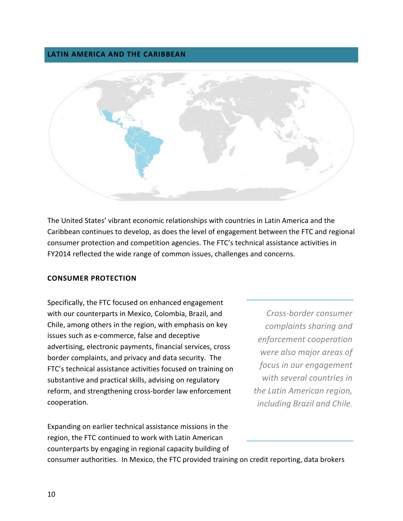#### <span id="page-10-0"></span>**LATIN AMERICA AND THE CARIBBEAN**



The United States' vibrant economic relationships with countries in Latin America and the Caribbean continues to develop, as does the level of engagement between the FTC and regional consumer protection and competition agencies. The FTC's technical assistance activities in FY2014 reflected the wide range of common issues, challenges and concerns.

#### **CONSUMER PROTECTION**

Specifically, the FTC focused on enhanced engagement with our counterparts in Mexico, Colombia, Brazil, and Chile, among others in the region, with emphasis on key issues such as e-commerce, false and deceptive advertising, electronic payments, financial services, cross border complaints, and privacy and data security. The FTC's technical assistance activities focused on training on substantive and practical skills, advising on regulatory reform, and strengthening cross-border law enforcement cooperation.

Expanding on earlier technical assistance missions in the region, the FTC continued to work with Latin American counterparts by engaging in regional capacity building of

*Cross-border consumer complaints sharing and enforcement cooperation were also major areas of focus in our engagement with several countries in the Latin American region, including Brazil and Chile.*

consumer authorities. In Mexico, the FTC provided training on credit reporting, data brokers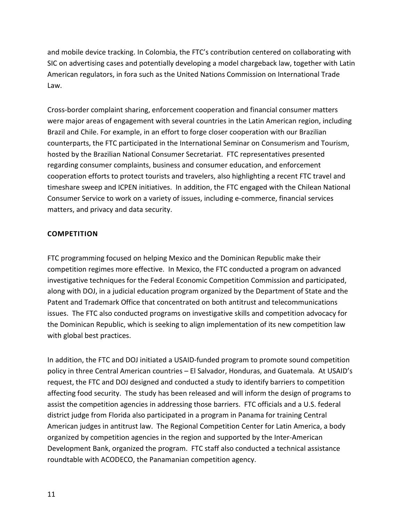and mobile device tracking. In Colombia, the FTC's contribution centered on collaborating with SIC on advertising cases and potentially developing a model chargeback law, together with Latin American regulators, in fora such as the United Nations Commission on International Trade Law.

Cross-border complaint sharing, enforcement cooperation and financial consumer matters were major areas of engagement with several countries in the Latin American region, including Brazil and Chile. For example, in an effort to forge closer cooperation with our Brazilian counterparts, the FTC participated in the International Seminar on Consumerism and Tourism, hosted by the Brazilian National Consumer Secretariat. FTC representatives presented regarding consumer complaints, business and consumer education, and enforcement cooperation efforts to protect tourists and travelers, also highlighting a recent FTC travel and timeshare sweep and ICPEN initiatives. In addition, the FTC engaged with the Chilean National Consumer Service to work on a variety of issues, including e-commerce, financial services matters, and privacy and data security.

#### **COMPETITION**

FTC programming focused on helping Mexico and the Dominican Republic make their competition regimes more effective. In Mexico, the FTC conducted a program on advanced investigative techniques for the Federal Economic Competition Commission and participated, along with DOJ, in a judicial education program organized by the Department of State and the Patent and Trademark Office that concentrated on both antitrust and telecommunications issues. The FTC also conducted programs on investigative skills and competition advocacy for the Dominican Republic, which is seeking to align implementation of its new competition law with global best practices.

In addition, the FTC and DOJ initiated a USAID-funded program to promote sound competition policy in three Central American countries – El Salvador, Honduras, and Guatemala. At USAID's request, the FTC and DOJ designed and conducted a study to identify barriers to competition affecting food security. The study has been released and will inform the design of programs to assist the competition agencies in addressing those barriers. FTC officials and a U.S. federal district judge from Florida also participated in a program in Panama for training Central American judges in antitrust law. The Regional Competition Center for Latin America, a body organized by competition agencies in the region and supported by the Inter-American Development Bank, organized the program. FTC staff also conducted a technical assistance roundtable with ACODECO, the Panamanian competition agency.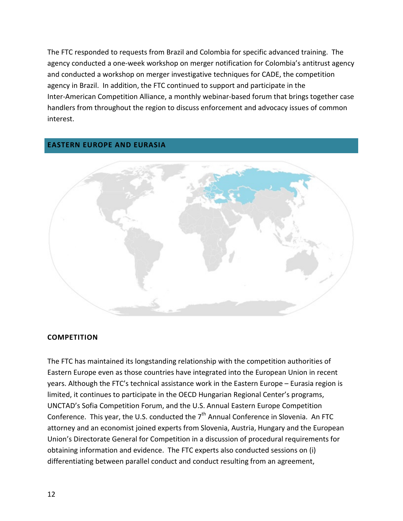The FTC responded to requests from Brazil and Colombia for specific advanced training. The agency conducted a one-week workshop on merger notification for Colombia's antitrust agency and conducted a workshop on merger investigative techniques for CADE, the competition agency in Brazil. In addition, the FTC continued to support and participate in the Inter-American Competition Alliance, a monthly webinar-based forum that brings together case handlers from throughout the region to discuss enforcement and advocacy issues of common interest.

#### <span id="page-12-0"></span>**EASTERN EUROPE AND EURASIA**



#### **COMPETITION**

The FTC has maintained its longstanding relationship with the competition authorities of Eastern Europe even as those countries have integrated into the European Union in recent years. Although the FTC's technical assistance work in the Eastern Europe – Eurasia region is limited, it continues to participate in the OECD Hungarian Regional Center's programs, UNCTAD's Sofia Competition Forum, and the U.S. Annual Eastern Europe Competition Conference. This year, the U.S. conducted the  $7<sup>th</sup>$  Annual Conference in Slovenia. An FTC attorney and an economist joined experts from Slovenia, Austria, Hungary and the European Union's Directorate General for Competition in a discussion of procedural requirements for obtaining information and evidence. The FTC experts also conducted sessions on (i) differentiating between parallel conduct and conduct resulting from an agreement,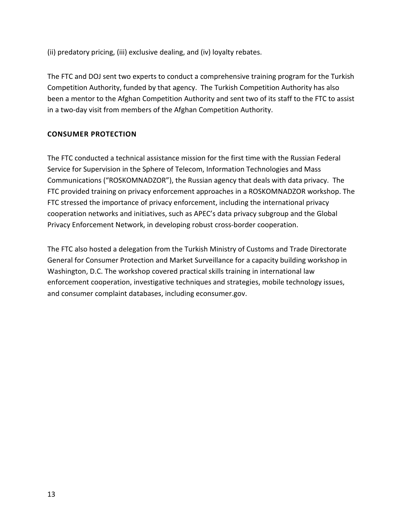(ii) predatory pricing, (iii) exclusive dealing, and (iv) loyalty rebates.

The FTC and DOJ sent two experts to conduct a comprehensive training program for the Turkish Competition Authority, funded by that agency. The Turkish Competition Authority has also been a mentor to the Afghan Competition Authority and sent two of its staff to the FTC to assist in a two-day visit from members of the Afghan Competition Authority.

#### **CONSUMER PROTECTION**

The FTC conducted a technical assistance mission for the first time with the Russian Federal Service for Supervision in the Sphere of Telecom, Information Technologies and Mass Communications ("ROSKOMNADZOR"), the Russian agency that deals with data privacy. The FTC provided training on privacy enforcement approaches in a ROSKOMNADZOR workshop. The FTC stressed the importance of privacy enforcement, including the international privacy cooperation networks and initiatives, such as APEC's data privacy subgroup and the Global Privacy Enforcement Network, in developing robust cross-border cooperation.

The FTC also hosted a delegation from the Turkish Ministry of Customs and Trade Directorate General for Consumer Protection and Market Surveillance for a capacity building workshop in Washington, D.C. The workshop covered practical skills training in international law enforcement cooperation, investigative techniques and strategies, mobile technology issues, and consumer complaint databases, including econsumer.gov.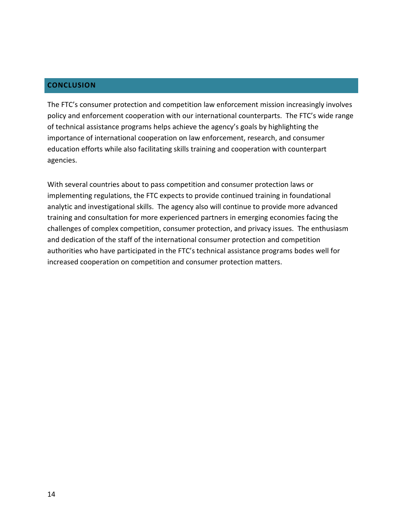#### <span id="page-14-0"></span>**CONCLUSION**

The FTC's consumer protection and competition law enforcement mission increasingly involves policy and enforcement cooperation with our international counterparts. The FTC's wide range of technical assistance programs helps achieve the agency's goals by highlighting the importance of international cooperation on law enforcement, research, and consumer education efforts while also facilitating skills training and cooperation with counterpart agencies.

With several countries about to pass competition and consumer protection laws or implementing regulations, the FTC expects to provide continued training in foundational analytic and investigational skills. The agency also will continue to provide more advanced training and consultation for more experienced partners in emerging economies facing the challenges of complex competition, consumer protection, and privacy issues. The enthusiasm and dedication of the staff of the international consumer protection and competition authorities who have participated in the FTC's technical assistance programs bodes well for increased cooperation on competition and consumer protection matters.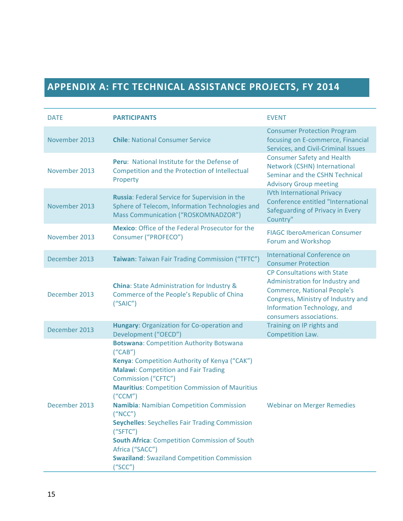# <span id="page-15-0"></span>**APPENDIX A: FTC TECHNICAL ASSISTANCE PROJECTS, FY 2014**

| <b>DATE</b>   | <b>PARTICIPANTS</b>                                                                                                                                                                                                                                                                                                                                                                                                                                                                                                                     | <b>EVENT</b>                                                                                                                                                                                                |
|---------------|-----------------------------------------------------------------------------------------------------------------------------------------------------------------------------------------------------------------------------------------------------------------------------------------------------------------------------------------------------------------------------------------------------------------------------------------------------------------------------------------------------------------------------------------|-------------------------------------------------------------------------------------------------------------------------------------------------------------------------------------------------------------|
| November 2013 | <b>Chile: National Consumer Service</b>                                                                                                                                                                                                                                                                                                                                                                                                                                                                                                 | <b>Consumer Protection Program</b><br>focusing on E-commerce, Financial<br>Services, and Civil-Criminal Issues                                                                                              |
| November 2013 | <b>Peru:</b> National Institute for the Defense of<br>Competition and the Protection of Intellectual<br>Property                                                                                                                                                                                                                                                                                                                                                                                                                        | <b>Consumer Safety and Health</b><br>Network (CSHN) International<br>Seminar and the CSHN Technical<br><b>Advisory Group meeting</b>                                                                        |
| November 2013 | Russia: Federal Service for Supervision in the<br>Sphere of Telecom, Information Technologies and<br>Mass Communication ("ROSKOMNADZOR")                                                                                                                                                                                                                                                                                                                                                                                                | <b>IVth International Privacy</b><br>Conference entitled "International<br>Safeguarding of Privacy in Every<br>Country"                                                                                     |
| November 2013 | <b>Mexico:</b> Office of the Federal Prosecutor for the<br>Consumer ("PROFECO")                                                                                                                                                                                                                                                                                                                                                                                                                                                         | <b>FIAGC IberoAmerican Consumer</b><br>Forum and Workshop                                                                                                                                                   |
| December 2013 | Taiwan: Taiwan Fair Trading Commission ("TFTC")                                                                                                                                                                                                                                                                                                                                                                                                                                                                                         | <b>International Conference on</b><br><b>Consumer Protection</b>                                                                                                                                            |
| December 2013 | <b>China:</b> State Administration for Industry &<br>Commerce of the People's Republic of China<br>("SAIC")                                                                                                                                                                                                                                                                                                                                                                                                                             | <b>CP Consultations with State</b><br>Administration for Industry and<br><b>Commerce, National People's</b><br>Congress, Ministry of Industry and<br>Information Technology, and<br>consumers associations. |
| December 2013 | Hungary: Organization for Co-operation and<br>Development ("OECD")                                                                                                                                                                                                                                                                                                                                                                                                                                                                      | Training on IP rights and<br>Competition Law.                                                                                                                                                               |
| December 2013 | <b>Botswana: Competition Authority Botswana</b><br>(''CAB'')<br>Kenya: Competition Authority of Kenya ("CAK")<br><b>Malawi:</b> Competition and Fair Trading<br>Commission ("CFTC")<br><b>Mauritius: Competition Commission of Mauritius</b><br>(''CCM")<br><b>Namibia: Namibian Competition Commission</b><br>("NCC")<br><b>Seychelles: Seychelles Fair Trading Commission</b><br>('SFTC")<br><b>South Africa: Competition Commission of South</b><br>Africa ("SACC")<br><b>Swaziland: Swaziland Competition Commission</b><br>("SCC") | <b>Webinar on Merger Remedies</b>                                                                                                                                                                           |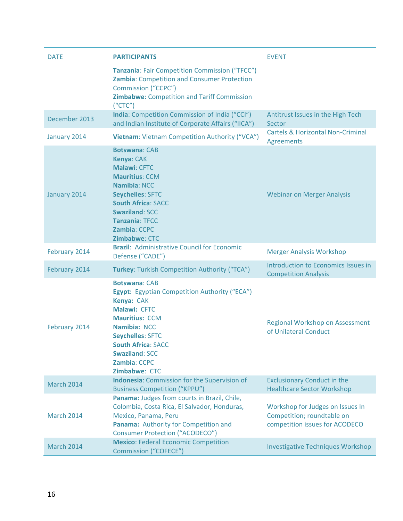| <b>DATE</b>       | <b>PARTICIPANTS</b>                                                                                                                                                                                                                                            | <b>EVENT</b>                                                                                     |
|-------------------|----------------------------------------------------------------------------------------------------------------------------------------------------------------------------------------------------------------------------------------------------------------|--------------------------------------------------------------------------------------------------|
|                   | Tanzania: Fair Competition Commission ("TFCC")<br>Zambia: Competition and Consumer Protection<br><b>Commission ("CCPC")</b><br>Zimbabwe: Competition and Tariff Commission<br>(''CTC")                                                                         |                                                                                                  |
| December 2013     | India: Competition Commission of India ("CCI")<br>and Indian Institute of Corporate Affairs ("IICA")                                                                                                                                                           | Antitrust Issues in the High Tech<br>Sector                                                      |
| January 2014      | Vietnam: Vietnam Competition Authority ("VCA")                                                                                                                                                                                                                 | <b>Cartels &amp; Horizontal Non-Criminal</b><br><b>Agreements</b>                                |
| January 2014      | <b>Botswana: CAB</b><br>Kenya: CAK<br>Malawi: CFTC<br><b>Mauritius: CCM</b><br><b>Namibia: NCC</b><br><b>Seychelles: SFTC</b><br><b>South Africa: SACC</b><br><b>Swaziland: SCC</b><br><b>Tanzania: TFCC</b><br>Zambia: CCPC<br>Zimbabwe: CTC                  | <b>Webinar on Merger Analysis</b>                                                                |
| February 2014     | <b>Brazil: Administrative Council for Economic</b><br>Defense ("CADE")                                                                                                                                                                                         | <b>Merger Analysis Workshop</b>                                                                  |
| February 2014     | Turkey: Turkish Competition Authority ("TCA")                                                                                                                                                                                                                  | Introduction to Economics Issues in<br><b>Competition Analysis</b>                               |
| February 2014     | <b>Botswana: CAB</b><br>Egypt: Egyptian Competition Authority ("ECA")<br>Kenya: CAK<br>Malawi: CFTC<br><b>Mauritius: CCM</b><br>Namibia: NCC<br><b>Seychelles: SFTC</b><br><b>South Africa: SACC</b><br><b>Swaziland: SCC</b><br>Zambia: CCPC<br>Zimbabwe: CTC | <b>Regional Workshop on Assessment</b><br>of Unilateral Conduct                                  |
| <b>March 2014</b> | <b>Indonesia:</b> Commission for the Supervision of<br><b>Business Competition ("KPPU")</b>                                                                                                                                                                    | <b>Exclusionary Conduct in the</b><br><b>Healthcare Sector Workshop</b>                          |
| <b>March 2014</b> | Panama: Judges from courts in Brazil, Chile,<br>Colombia, Costa Rica, El Salvador, Honduras,<br>Mexico, Panama, Peru<br>Panama: Authority for Competition and<br><b>Consumer Protection ("ACODECO")</b>                                                        | Workshop for Judges on Issues In<br>Competition; roundtable on<br>competition issues for ACODECO |
| <b>March 2014</b> | <b>Mexico: Federal Economic Competition</b><br><b>Commission ("COFECE")</b>                                                                                                                                                                                    | <b>Investigative Techniques Workshop</b>                                                         |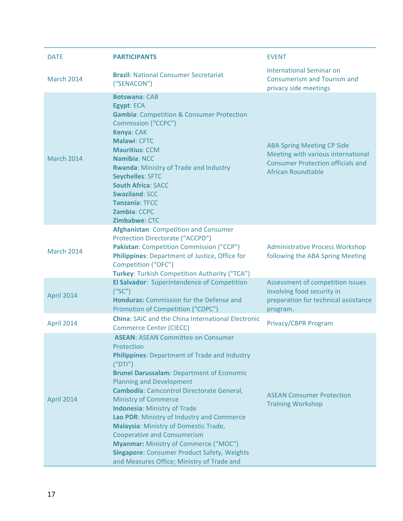| <b>DATE</b>       | <b>PARTICIPANTS</b>                                                                                                                                                                                                                                                                                                                                                                                                                                                                                                                                                                                              | <b>EVENT</b>                                                                                                                                     |
|-------------------|------------------------------------------------------------------------------------------------------------------------------------------------------------------------------------------------------------------------------------------------------------------------------------------------------------------------------------------------------------------------------------------------------------------------------------------------------------------------------------------------------------------------------------------------------------------------------------------------------------------|--------------------------------------------------------------------------------------------------------------------------------------------------|
| <b>March 2014</b> | <b>Brazil: National Consumer Secretariat</b><br>("SENACON")                                                                                                                                                                                                                                                                                                                                                                                                                                                                                                                                                      | <b>International Seminar on</b><br><b>Consumerism and Tourism and</b><br>privacy side meetings                                                   |
| <b>March 2014</b> | <b>Botswana: CAB</b><br>Egypt: ECA<br><b>Gambia:</b> Competition & Consumer Protection<br>Commission ("CCPC")<br>Kenya: CAK<br>Malawi: CFTC<br><b>Mauritius: CCM</b><br><b>Namibia: NCC</b><br><b>Rwanda: Ministry of Trade and Industry</b><br><b>Seychelles: SFTC</b><br><b>South Africa: SACC</b><br><b>Swaziland: SCC</b><br><b>Tanzania: TFCC</b><br><b>Zambia: CCPC</b><br>Zimbabwe: CTC                                                                                                                                                                                                                   | <b>ABA Spring Meeting CP Side</b><br>Meeting with various international<br><b>Consumer Protection officials and</b><br><b>African Roundtable</b> |
| <b>March 2014</b> | <b>Afghanistan: Competition and Consumer</b><br>Protection Directorate ("ACCPD")<br>Pakistan: Competition Commission ("CCP")<br>Philippines: Department of Justice, Office for<br>Competition ("OFC")<br>Turkey: Turkish Competition Authority ("TCA")                                                                                                                                                                                                                                                                                                                                                           | <b>Administrative Process Workshop</b><br>following the ABA Spring Meeting                                                                       |
| April 2014        | El Salvador: Superintendence of Competition<br>("SC")<br><b>Honduras: Commission for the Defense and</b><br>Promotion of Competition ("CDPC")                                                                                                                                                                                                                                                                                                                                                                                                                                                                    | Assessment of competition issues<br>involving food security in<br>preparation for technical assistance<br>program.                               |
| April 2014        | <b>China: SAIC and the China International Electronic</b><br><b>Commerce Center (CIECC)</b>                                                                                                                                                                                                                                                                                                                                                                                                                                                                                                                      | Privacy/CBPR Program                                                                                                                             |
| April 2014        | <b>ASEAN: ASEAN Committee on Consumer</b><br>Protection<br>Philippines: Department of Trade and Industry<br>(''DTI'')<br><b>Brunei Darussalam: Department of Economic</b><br><b>Planning and Development</b><br>Cambodia: Camcontrol Directorate General,<br><b>Ministry of Commerce</b><br><b>Indonesia: Ministry of Trade</b><br>Lao PDR: Ministry of Industry and Commerce<br>Malaysia: Ministry of Domestic Trade,<br><b>Cooperative and Consumerism</b><br><b>Myanmar: Ministry of Commerce ("MOC")</b><br><b>Singapore: Consumer Product Safety, Weights</b><br>and Measures Office; Ministry of Trade and | <b>ASEAN Consumer Protection</b><br><b>Training Workshop</b>                                                                                     |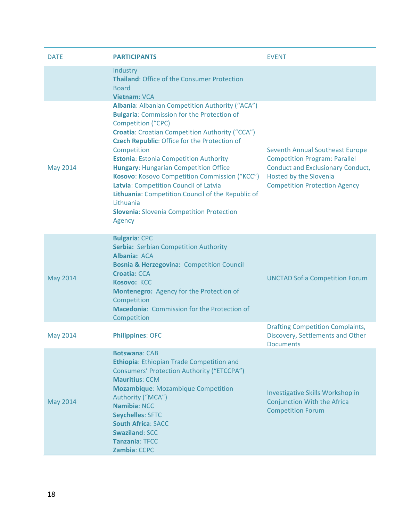| <b>DATE</b>     | <b>PARTICIPANTS</b>                                                                                                                                                                                                                                                                                                                                                                                                                                                                                                                                                                                                                                                                            | <b>EVENT</b>                                                                                                                                                                                 |
|-----------------|------------------------------------------------------------------------------------------------------------------------------------------------------------------------------------------------------------------------------------------------------------------------------------------------------------------------------------------------------------------------------------------------------------------------------------------------------------------------------------------------------------------------------------------------------------------------------------------------------------------------------------------------------------------------------------------------|----------------------------------------------------------------------------------------------------------------------------------------------------------------------------------------------|
| <b>May 2014</b> | Industry<br><b>Thailand: Office of the Consumer Protection</b><br><b>Board</b><br>Vietnam: VCA<br>Albania: Albanian Competition Authority ("ACA")<br><b>Bulgaria: Commission for the Protection of</b><br><b>Competition ("CPC)</b><br><b>Croatia:</b> Croatian Competition Authority ("CCA")<br><b>Czech Republic: Office for the Protection of</b><br>Competition<br><b>Estonia: Estonia Competition Authority</b><br><b>Hungary: Hungarian Competition Office</b><br>Kosovo: Kosovo Competition Commission ("KCC")<br>Latvia: Competition Council of Latvia<br>Lithuania: Competition Council of the Republic of<br>Lithuania<br><b>Slovenia: Slovenia Competition Protection</b><br>Agency | <b>Seventh Annual Southeast Europe</b><br><b>Competition Program: Parallel</b><br><b>Conduct and Exclusionary Conduct,</b><br>Hosted by the Slovenia<br><b>Competition Protection Agency</b> |
| <b>May 2014</b> | <b>Bulgaria: CPC</b><br><b>Serbia: Serbian Competition Authority</b><br>Albania: ACA<br><b>Bosnia &amp; Herzegovina: Competition Council</b><br><b>Croatia: CCA</b><br>Kosovo: KCC<br>Montenegro: Agency for the Protection of<br>Competition<br><b>Macedonia: Commission for the Protection of</b><br>Competition                                                                                                                                                                                                                                                                                                                                                                             | <b>UNCTAD Sofia Competition Forum</b>                                                                                                                                                        |
| <b>May 2014</b> | <b>Philippines: OFC</b>                                                                                                                                                                                                                                                                                                                                                                                                                                                                                                                                                                                                                                                                        | <b>Drafting Competition Complaints,</b><br>Discovery, Settlements and Other<br><b>Documents</b>                                                                                              |
| <b>May 2014</b> | <b>Botswana: CAB</b><br>Ethiopia: Ethiopian Trade Competition and<br><b>Consumers' Protection Authority ("ETCCPA")</b><br><b>Mauritius: CCM</b><br><b>Mozambique: Mozambique Competition</b><br>Authority ("MCA")<br><b>Namibia: NCC</b><br><b>Seychelles: SFTC</b><br><b>South Africa: SACC</b><br><b>Swaziland: SCC</b><br><b>Tanzania: TFCC</b><br>Zambia: CCPC                                                                                                                                                                                                                                                                                                                             | Investigative Skills Workshop in<br><b>Conjunction With the Africa</b><br><b>Competition Forum</b>                                                                                           |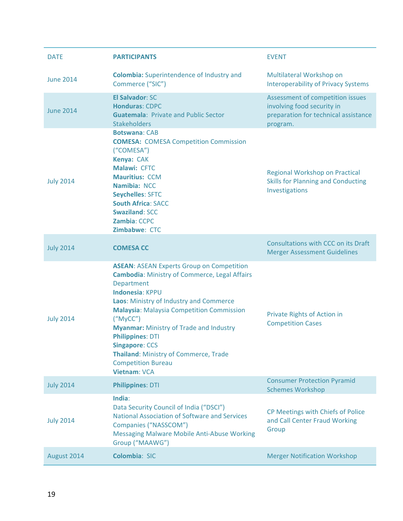| <b>DATE</b>      | <b>PARTICIPANTS</b>                                                                                                                                                                                                                                                                                                                                                                                                                                                   | <b>EVENT</b>                                                                                                       |
|------------------|-----------------------------------------------------------------------------------------------------------------------------------------------------------------------------------------------------------------------------------------------------------------------------------------------------------------------------------------------------------------------------------------------------------------------------------------------------------------------|--------------------------------------------------------------------------------------------------------------------|
| <b>June 2014</b> | <b>Colombia:</b> Superintendence of Industry and<br>Commerce ("SIC")                                                                                                                                                                                                                                                                                                                                                                                                  | Multilateral Workshop on<br><b>Interoperability of Privacy Systems</b>                                             |
| <b>June 2014</b> | <b>El Salvador: SC</b><br><b>Honduras: CDPC</b><br><b>Guatemala: Private and Public Sector</b><br><b>Stakeholders</b>                                                                                                                                                                                                                                                                                                                                                 | Assessment of competition issues<br>involving food security in<br>preparation for technical assistance<br>program. |
| <b>July 2014</b> | <b>Botswana: CAB</b><br><b>COMESA: COMESA Competition Commission</b><br>("COMESA")<br>Kenya: CAK<br>Malawi: CFTC<br><b>Mauritius: CCM</b><br>Namibia: NCC<br><b>Seychelles: SFTC</b><br><b>South Africa: SACC</b><br><b>Swaziland: SCC</b><br><b>Zambia: CCPC</b><br>Zimbabwe: CTC                                                                                                                                                                                    | Regional Workshop on Practical<br><b>Skills for Planning and Conducting</b><br>Investigations                      |
| <b>July 2014</b> | <b>COMESA CC</b>                                                                                                                                                                                                                                                                                                                                                                                                                                                      | Consultations with CCC on its Draft<br><b>Merger Assessment Guidelines</b>                                         |
| <b>July 2014</b> | <b>ASEAN: ASEAN Experts Group on Competition</b><br><b>Cambodia: Ministry of Commerce, Legal Affairs</b><br>Department<br><b>Indonesia: KPPU</b><br>Laos: Ministry of Industry and Commerce<br><b>Malaysia: Malaysia Competition Commission</b><br>("MyCC")<br><b>Myanmar: Ministry of Trade and Industry</b><br><b>Philippines: DTI</b><br><b>Singapore: CCS</b><br><b>Thailand: Ministry of Commerce, Trade</b><br><b>Competition Bureau</b><br><b>Vietnam: VCA</b> | Private Rights of Action in<br><b>Competition Cases</b>                                                            |
| <b>July 2014</b> | <b>Philippines: DTI</b>                                                                                                                                                                                                                                                                                                                                                                                                                                               | <b>Consumer Protection Pyramid</b><br><b>Schemes Workshop</b>                                                      |
| <b>July 2014</b> | India:<br>Data Security Council of India ("DSCI")<br><b>National Association of Software and Services</b><br>Companies ("NASSCOM")<br><b>Messaging Malware Mobile Anti-Abuse Working</b><br>Group ("MAAWG")                                                                                                                                                                                                                                                           | CP Meetings with Chiefs of Police<br>and Call Center Fraud Working<br>Group                                        |
| August 2014      | Colombia: SIC                                                                                                                                                                                                                                                                                                                                                                                                                                                         | <b>Merger Notification Workshop</b>                                                                                |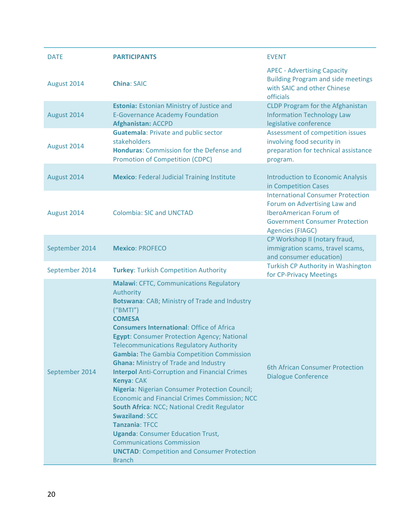| <b>DATE</b>    | <b>PARTICIPANTS</b>                                                                                                                                                                                                                                                                                                                                                                                                                                                                                                                                                                                                                                                                                                                                                                                                                                              | <b>EVENT</b>                                                                                                                                                           |
|----------------|------------------------------------------------------------------------------------------------------------------------------------------------------------------------------------------------------------------------------------------------------------------------------------------------------------------------------------------------------------------------------------------------------------------------------------------------------------------------------------------------------------------------------------------------------------------------------------------------------------------------------------------------------------------------------------------------------------------------------------------------------------------------------------------------------------------------------------------------------------------|------------------------------------------------------------------------------------------------------------------------------------------------------------------------|
| August 2014    | <b>China: SAIC</b>                                                                                                                                                                                                                                                                                                                                                                                                                                                                                                                                                                                                                                                                                                                                                                                                                                               | <b>APEC - Advertising Capacity</b><br><b>Building Program and side meetings</b><br>with SAIC and other Chinese<br>officials                                            |
| August 2014    | <b>Estonia:</b> Estonian Ministry of Justice and<br><b>E-Governance Academy Foundation</b><br><b>Afghanistan: ACCPD</b>                                                                                                                                                                                                                                                                                                                                                                                                                                                                                                                                                                                                                                                                                                                                          | <b>CLDP Program for the Afghanistan</b><br><b>Information Technology Law</b><br>legislative conference                                                                 |
| August 2014    | <b>Guatemala: Private and public sector</b><br>stakeholders<br><b>Honduras: Commission for the Defense and</b><br><b>Promotion of Competition (CDPC)</b>                                                                                                                                                                                                                                                                                                                                                                                                                                                                                                                                                                                                                                                                                                         | Assessment of competition issues<br>involving food security in<br>preparation for technical assistance<br>program.                                                     |
| August 2014    | <b>Mexico: Federal Judicial Training Institute</b>                                                                                                                                                                                                                                                                                                                                                                                                                                                                                                                                                                                                                                                                                                                                                                                                               | <b>Introduction to Economic Analysis</b><br>in Competition Cases                                                                                                       |
| August 2014    | <b>Colombia: SIC and UNCTAD</b>                                                                                                                                                                                                                                                                                                                                                                                                                                                                                                                                                                                                                                                                                                                                                                                                                                  | <b>International Consumer Protection</b><br>Forum on Advertising Law and<br>IberoAmerican Forum of<br><b>Government Consumer Protection</b><br><b>Agencies (FIAGC)</b> |
| September 2014 | <b>Mexico: PROFECO</b>                                                                                                                                                                                                                                                                                                                                                                                                                                                                                                                                                                                                                                                                                                                                                                                                                                           | CP Workshop II (notary fraud,<br>immigration scams, travel scams,<br>and consumer education)                                                                           |
| September 2014 | <b>Turkey: Turkish Competition Authority</b>                                                                                                                                                                                                                                                                                                                                                                                                                                                                                                                                                                                                                                                                                                                                                                                                                     | Turkish CP Authority in Washington<br>for CP-Privacy Meetings                                                                                                          |
| September 2014 | <b>Malawi: CFTC, Communications Regulatory</b><br>Authority<br><b>Botswana: CAB; Ministry of Trade and Industry</b><br>("BMTI")<br><b>COMESA</b><br><b>Consumers International: Office of Africa</b><br><b>Egypt: Consumer Protection Agency; National</b><br><b>Telecommunications Regulatory Authority</b><br><b>Gambia:</b> The Gambia Competition Commission<br><b>Ghana: Ministry of Trade and Industry</b><br><b>Interpol</b> Anti-Corruption and Financial Crimes<br>Kenya: CAK<br><b>Nigeria: Nigerian Consumer Protection Council;</b><br><b>Economic and Financial Crimes Commission; NCC</b><br>South Africa: NCC; National Credit Regulator<br><b>Swaziland: SCC</b><br><b>Tanzania: TFCC</b><br><b>Uganda: Consumer Education Trust,</b><br><b>Communications Commission</b><br><b>UNCTAD:</b> Competition and Consumer Protection<br><b>Branch</b> | 6th African Consumer Protection<br><b>Dialogue Conference</b>                                                                                                          |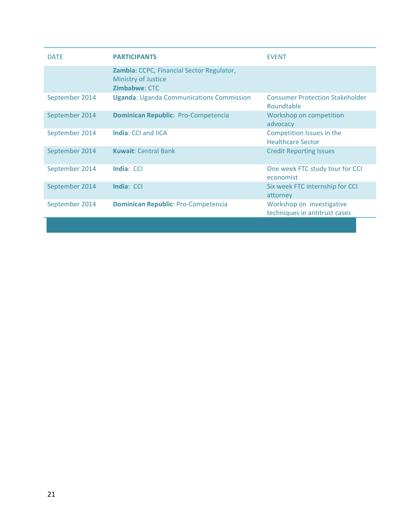| <b>DATE</b>    | <b>PARTICIPANTS</b>                                                                             | <b>EVENT</b>                                               |
|----------------|-------------------------------------------------------------------------------------------------|------------------------------------------------------------|
|                | Zambia: CCPC, Financial Sector Regulator,<br><b>Ministry of Justice</b><br><b>Zimbabwe: CTC</b> |                                                            |
| September 2014 | <b>Uganda: Uganda Communications Commission</b>                                                 | <b>Consumer Protection Stakeholder</b><br>Roundtable       |
| September 2014 | <b>Dominican Republic: Pro-Competencia</b>                                                      | Workshop on competition<br>advocacy                        |
| September 2014 | India: CCI and IICA                                                                             | Competition Issues in the<br><b>Healthcare Sector</b>      |
| September 2014 | <b>Kuwait: Central Bank</b>                                                                     | <b>Credit Reporting Issues</b>                             |
| September 2014 | India: CCI                                                                                      | One week FTC study tour for CCI<br>economist               |
| September 2014 | India: CCI                                                                                      | Six week FTC internship for CCI<br>attorney                |
| September 2014 | <b>Dominican Republic: Pro-Competencia</b>                                                      | Workshop on investigative<br>techniques in antitrust cases |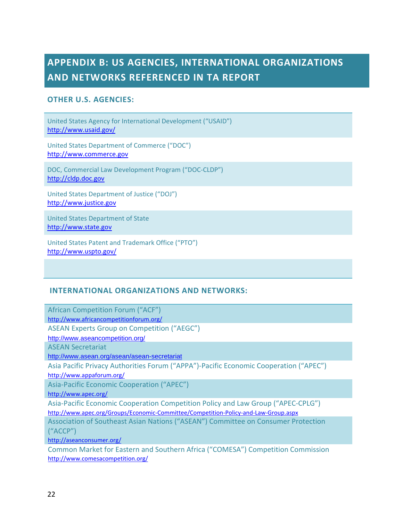## <span id="page-22-0"></span>**APPENDIX B: US AGENCIES, INTERNATIONAL ORGANIZATIONS AND NETWORKS REFERENCED IN TA REPORT**

#### **OTHER U.S. AGENCIES:**

United States Agency for International Development ("USAID") <http://www.usaid.gov/>

United States Department of Commerce ("DOC") [http://www.commerce.gov](http://www.commerce.gov/)

DOC, Commercial Law Development Program ("DOC-CLDP") [http://cldp.doc.gov](http://cldp.doc.gov/)

United States Department of Justice ("DOJ") [http://www.justice.gov](http://www.justice.gov/)

United States Department of State [http://www.state.gov](http://www.state.gov/)

United States Patent and Trademark Office ("PTO") <http://www.uspto.gov/>

#### **INTERNATIONAL ORGANIZATIONS AND NETWORKS:**

African Competition Forum ("ACF") <http://www.africancompetitionforum.org/> ASEAN Experts Group on Competition ("AEGC") <http://www.aseancompetition.org/> ASEAN Secretariat <http://www.asean.org/asean/asean-secretariat> Asia Pacific Privacy Authorities Forum ("APPA")-Pacific Economic Cooperation ("APEC") <http://www.appaforum.org/> Asia-Pacific Economic Cooperation ("APEC") <http://www.apec.org/> Asia-Pacific Economic Cooperation Competition Policy and Law Group ("APEC-CPLG") <http://www.apec.org/Groups/Economic-Committee/Competition-Policy-and-Law-Group.aspx> Association of Southeast Asian Nations ("ASEAN") Committee on Consumer Protection ("ACCP") <http://aseanconsumer.org/> Common Market for Eastern and Southern Africa ("COMESA") Competition Commission <http://www.comesacompetition.org/>